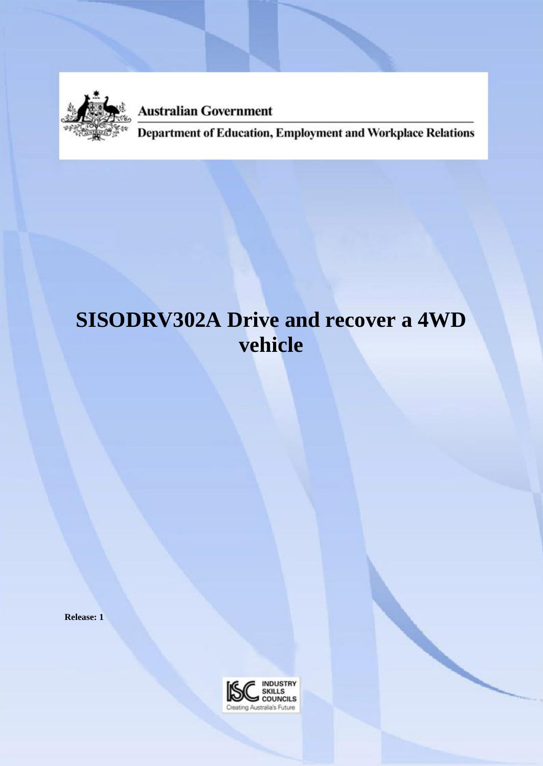

**Australian Government** 

Department of Education, Employment and Workplace Relations

# **SISODRV302A Drive and recover a 4WD vehicle**

**Release: 1**

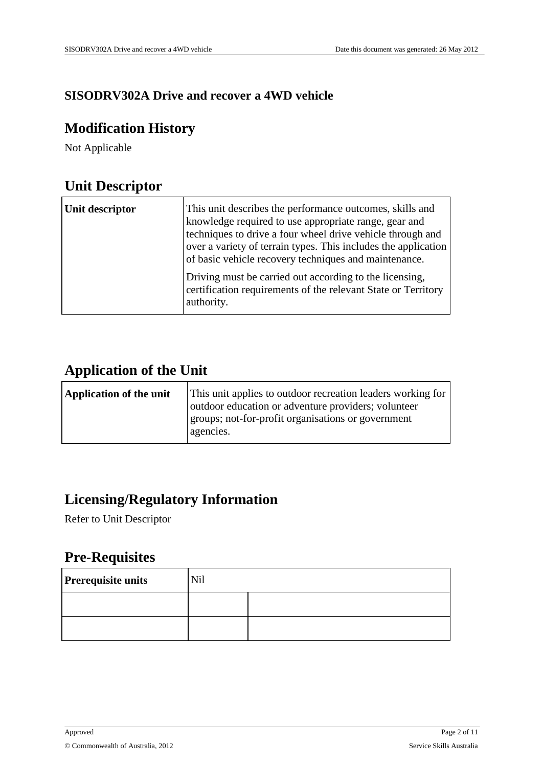#### **SISODRV302A Drive and recover a 4WD vehicle**

### **Modification History**

Not Applicable

# **Unit Descriptor**

| Unit descriptor | This unit describes the performance outcomes, skills and<br>knowledge required to use appropriate range, gear and<br>techniques to drive a four wheel drive vehicle through and<br>over a variety of terrain types. This includes the application<br>of basic vehicle recovery techniques and maintenance. |
|-----------------|------------------------------------------------------------------------------------------------------------------------------------------------------------------------------------------------------------------------------------------------------------------------------------------------------------|
|                 | Driving must be carried out according to the licensing,<br>certification requirements of the relevant State or Territory<br>authority.                                                                                                                                                                     |

# **Application of the Unit**

| <b>Application of the unit</b> | This unit applies to outdoor recreation leaders working for<br>outdoor education or adventure providers; volunteer<br>groups; not-for-profit organisations or government<br>agencies. |
|--------------------------------|---------------------------------------------------------------------------------------------------------------------------------------------------------------------------------------|
|--------------------------------|---------------------------------------------------------------------------------------------------------------------------------------------------------------------------------------|

### **Licensing/Regulatory Information**

Refer to Unit Descriptor

### **Pre-Requisites**

| <b>Prerequisite units</b> | Nil |  |
|---------------------------|-----|--|
|                           |     |  |
|                           |     |  |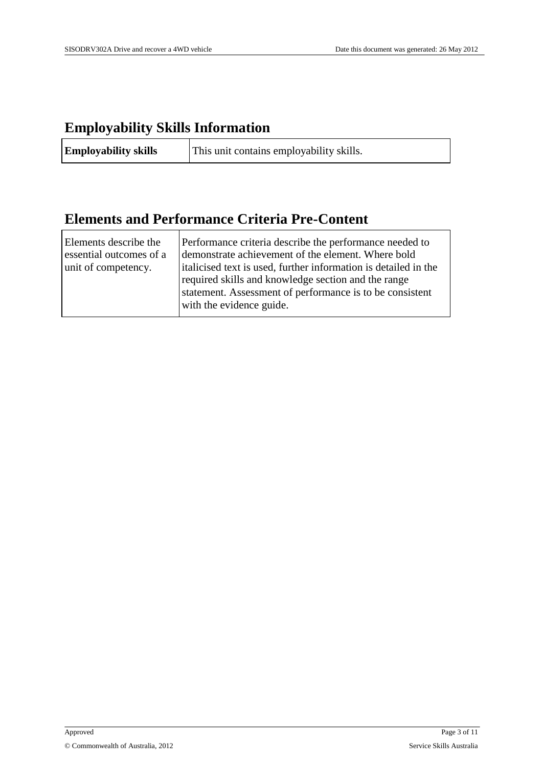## **Employability Skills Information**

|  | <b>Employability skills</b> |  |
|--|-----------------------------|--|
|  |                             |  |

This unit contains employability skills.

### **Elements and Performance Criteria Pre-Content**

| Elements describe the<br>essential outcomes of a<br>unit of competency. | Performance criteria describe the performance needed to<br>demonstrate achievement of the element. Where bold<br>italicised text is used, further information is detailed in the<br>required skills and knowledge section and the range<br>statement. Assessment of performance is to be consistent |
|-------------------------------------------------------------------------|-----------------------------------------------------------------------------------------------------------------------------------------------------------------------------------------------------------------------------------------------------------------------------------------------------|
|                                                                         | with the evidence guide.                                                                                                                                                                                                                                                                            |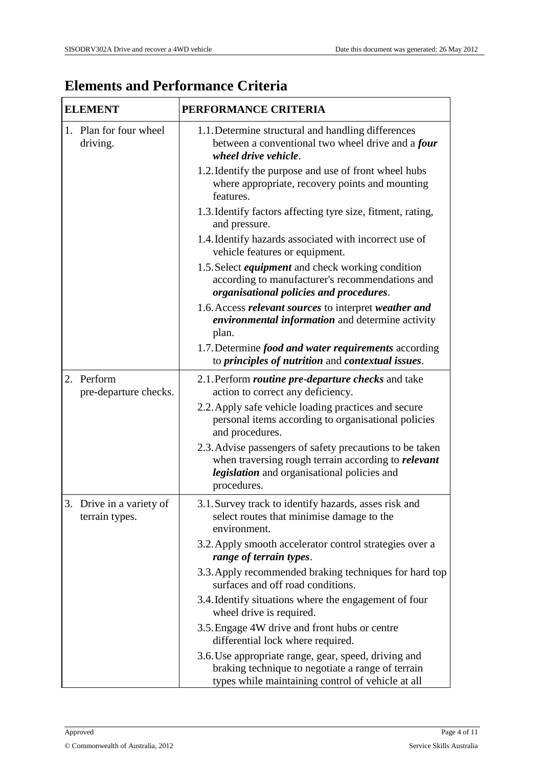| <b>ELEMENT</b>                             | PERFORMANCE CRITERIA                                                                                                                                                          |
|--------------------------------------------|-------------------------------------------------------------------------------------------------------------------------------------------------------------------------------|
| 1. Plan for four wheel<br>driving.         | 1.1. Determine structural and handling differences<br>between a conventional two wheel drive and a <i>four</i><br>wheel drive vehicle.                                        |
|                                            | 1.2. Identify the purpose and use of front wheel hubs<br>where appropriate, recovery points and mounting<br>features.                                                         |
|                                            | 1.3. Identify factors affecting tyre size, fitment, rating,<br>and pressure.                                                                                                  |
|                                            | 1.4. Identify hazards associated with incorrect use of<br>vehicle features or equipment.                                                                                      |
|                                            | 1.5. Select <i>equipment</i> and check working condition<br>according to manufacturer's recommendations and<br>organisational policies and procedures.                        |
|                                            | 1.6. Access relevant sources to interpret weather and<br>environmental information and determine activity<br>plan.                                                            |
|                                            | 1.7. Determine food and water requirements according<br>to principles of nutrition and contextual issues.                                                                     |
| 2. Perform<br>pre-departure checks.        | 2.1. Perform <i>routine</i> pre-departure checks and take<br>action to correct any deficiency.                                                                                |
|                                            | 2.2. Apply safe vehicle loading practices and secure<br>personal items according to organisational policies<br>and procedures.                                                |
|                                            | 2.3. Advise passengers of safety precautions to be taken<br>when traversing rough terrain according to relevant<br>legislation and organisational policies and<br>procedures. |
| 3. Drive in a variety of<br>terrain types. | 3.1. Survey track to identify hazards, asses risk and<br>select routes that minimise damage to the<br>environment.                                                            |
|                                            | 3.2. Apply smooth accelerator control strategies over a<br>range of terrain types.                                                                                            |
|                                            | 3.3. Apply recommended braking techniques for hard top<br>surfaces and off road conditions.                                                                                   |
|                                            | 3.4. Identify situations where the engagement of four<br>wheel drive is required.                                                                                             |
|                                            | 3.5. Engage 4W drive and front hubs or centre<br>differential lock where required.                                                                                            |
|                                            | 3.6. Use appropriate range, gear, speed, driving and<br>braking technique to negotiate a range of terrain<br>types while maintaining control of vehicle at all                |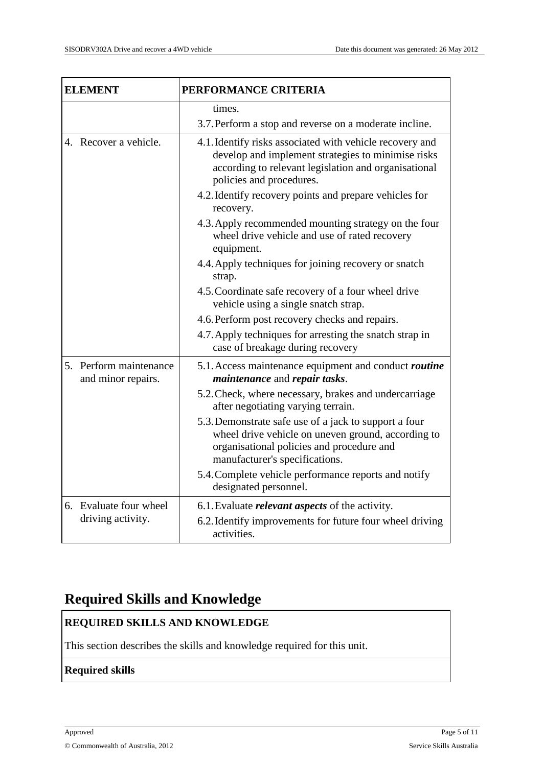| <b>ELEMENT</b> |                                              | PERFORMANCE CRITERIA                                                                                                                                                                               |  |
|----------------|----------------------------------------------|----------------------------------------------------------------------------------------------------------------------------------------------------------------------------------------------------|--|
|                |                                              | times.<br>3.7. Perform a stop and reverse on a moderate incline.                                                                                                                                   |  |
|                | 4. Recover a vehicle.                        | 4.1. Identify risks associated with vehicle recovery and<br>develop and implement strategies to minimise risks<br>according to relevant legislation and organisational<br>policies and procedures. |  |
|                |                                              | 4.2. Identify recovery points and prepare vehicles for<br>recovery.                                                                                                                                |  |
|                |                                              | 4.3. Apply recommended mounting strategy on the four<br>wheel drive vehicle and use of rated recovery<br>equipment.                                                                                |  |
|                |                                              | 4.4. Apply techniques for joining recovery or snatch<br>strap.                                                                                                                                     |  |
|                |                                              | 4.5. Coordinate safe recovery of a four wheel drive<br>vehicle using a single snatch strap.                                                                                                        |  |
|                |                                              | 4.6. Perform post recovery checks and repairs.                                                                                                                                                     |  |
|                |                                              | 4.7. Apply techniques for arresting the snatch strap in<br>case of breakage during recovery                                                                                                        |  |
|                | 5. Perform maintenance<br>and minor repairs. | 5.1. Access maintenance equipment and conduct <i>routine</i><br><i>maintenance</i> and <i>repair tasks</i> .                                                                                       |  |
|                |                                              | 5.2. Check, where necessary, brakes and undercarriage<br>after negotiating varying terrain.                                                                                                        |  |
|                |                                              | 5.3. Demonstrate safe use of a jack to support a four<br>wheel drive vehicle on uneven ground, according to<br>organisational policies and procedure and<br>manufacturer's specifications.         |  |
|                |                                              | 5.4. Complete vehicle performance reports and notify<br>designated personnel.                                                                                                                      |  |
|                | 6. Evaluate four wheel                       | 6.1. Evaluate <i>relevant</i> aspects of the activity.                                                                                                                                             |  |
|                | driving activity.                            | 6.2. Identify improvements for future four wheel driving<br>activities.                                                                                                                            |  |

### **Required Skills and Knowledge**

#### **REQUIRED SKILLS AND KNOWLEDGE**

This section describes the skills and knowledge required for this unit.

#### **Required skills**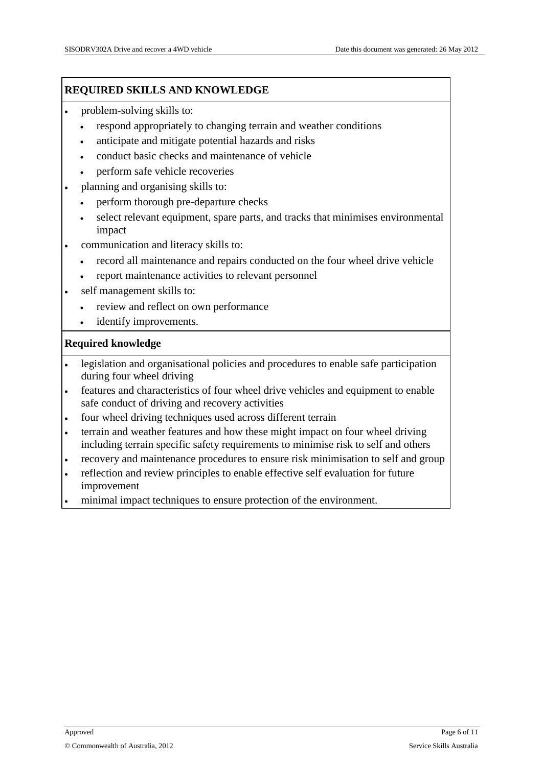#### **REQUIRED SKILLS AND KNOWLEDGE**

- problem-solving skills to:
	- respond appropriately to changing terrain and weather conditions
	- anticipate and mitigate potential hazards and risks
	- conduct basic checks and maintenance of vehicle
	- perform safe vehicle recoveries
- planning and organising skills to:
	- perform thorough pre-departure checks
	- select relevant equipment, spare parts, and tracks that minimises environmental impact
- communication and literacy skills to:
	- record all maintenance and repairs conducted on the four wheel drive vehicle
	- report maintenance activities to relevant personnel
- self management skills to:
	- review and reflect on own performance
	- identify improvements.

#### **Required knowledge**

- legislation and organisational policies and procedures to enable safe participation during four wheel driving
- features and characteristics of four wheel drive vehicles and equipment to enable safe conduct of driving and recovery activities
- four wheel driving techniques used across different terrain
- terrain and weather features and how these might impact on four wheel driving including terrain specific safety requirements to minimise risk to self and others
- recovery and maintenance procedures to ensure risk minimisation to self and group
- reflection and review principles to enable effective self evaluation for future improvement
- minimal impact techniques to ensure protection of the environment.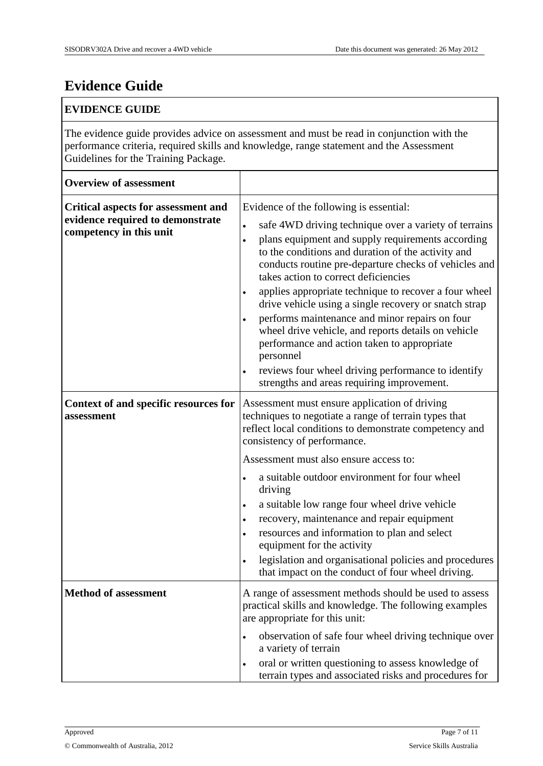# **Evidence Guide**

#### **EVIDENCE GUIDE**

The evidence guide provides advice on assessment and must be read in conjunction with the performance criteria, required skills and knowledge, range statement and the Assessment Guidelines for the Training Package.

| <b>Overview of assessment</b>                                                                             |                                                                                                                                                                                                                                                                                                                                                                                                                                                                                                                                                                                                                                                                                                                           |  |
|-----------------------------------------------------------------------------------------------------------|---------------------------------------------------------------------------------------------------------------------------------------------------------------------------------------------------------------------------------------------------------------------------------------------------------------------------------------------------------------------------------------------------------------------------------------------------------------------------------------------------------------------------------------------------------------------------------------------------------------------------------------------------------------------------------------------------------------------------|--|
| <b>Critical aspects for assessment and</b><br>evidence required to demonstrate<br>competency in this unit | Evidence of the following is essential:<br>safe 4WD driving technique over a variety of terrains<br>plans equipment and supply requirements according<br>$\bullet$<br>to the conditions and duration of the activity and<br>conducts routine pre-departure checks of vehicles and<br>takes action to correct deficiencies<br>applies appropriate technique to recover a four wheel<br>drive vehicle using a single recovery or snatch strap<br>performs maintenance and minor repairs on four<br>wheel drive vehicle, and reports details on vehicle<br>performance and action taken to appropriate<br>personnel<br>reviews four wheel driving performance to identify<br>٠<br>strengths and areas requiring improvement. |  |
| Context of and specific resources for<br>assessment                                                       | Assessment must ensure application of driving<br>techniques to negotiate a range of terrain types that<br>reflect local conditions to demonstrate competency and<br>consistency of performance.<br>Assessment must also ensure access to:<br>a suitable outdoor environment for four wheel<br>driving<br>a suitable low range four wheel drive vehicle<br>٠<br>recovery, maintenance and repair equipment<br>٠<br>resources and information to plan and select<br>٠<br>equipment for the activity<br>legislation and organisational policies and procedures<br>that impact on the conduct of four wheel driving.                                                                                                          |  |
| <b>Method of assessment</b>                                                                               | A range of assessment methods should be used to assess<br>practical skills and knowledge. The following examples<br>are appropriate for this unit:<br>observation of safe four wheel driving technique over<br>$\bullet$<br>a variety of terrain<br>oral or written questioning to assess knowledge of<br>terrain types and associated risks and procedures for                                                                                                                                                                                                                                                                                                                                                           |  |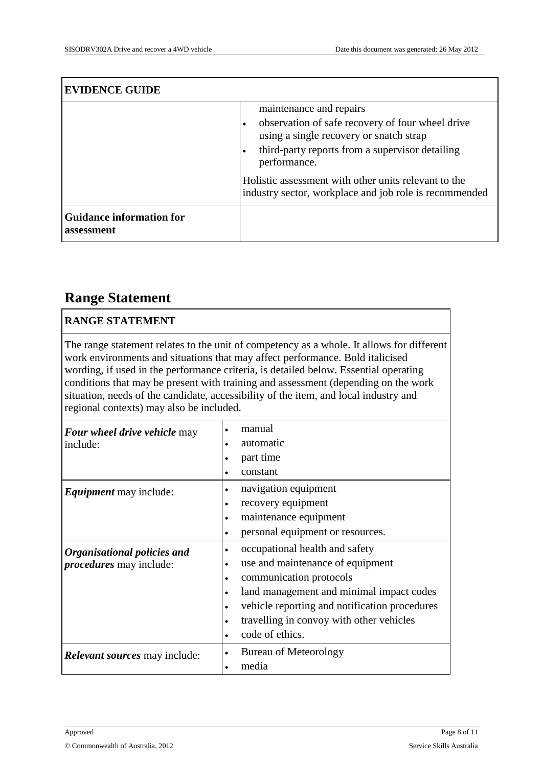| <b>EVIDENCE GUIDE</b>                         |                                                                                                                                                                                           |
|-----------------------------------------------|-------------------------------------------------------------------------------------------------------------------------------------------------------------------------------------------|
|                                               | maintenance and repairs<br>observation of safe recovery of four wheel drive<br>using a single recovery or snatch strap<br>third-party reports from a supervisor detailing<br>performance. |
|                                               | Holistic assessment with other units relevant to the<br>industry sector, workplace and job role is recommended                                                                            |
| <b>Guidance information for</b><br>assessment |                                                                                                                                                                                           |

### **Range Statement**

#### **RANGE STATEMENT**

The range statement relates to the unit of competency as a whole. It allows for different work environments and situations that may affect performance. Bold italicised wording, if used in the performance criteria, is detailed below. Essential operating conditions that may be present with training and assessment (depending on the work situation, needs of the candidate, accessibility of the item, and local industry and regional contexts) may also be included.

| Four wheel drive vehicle may<br>include: | manual<br>$\bullet$<br>automatic<br>$\bullet$                        |
|------------------------------------------|----------------------------------------------------------------------|
|                                          | part time<br>$\bullet$                                               |
|                                          | constant<br>$\bullet$                                                |
| <i>Equipment</i> may include:            | navigation equipment<br>$\bullet$<br>recovery equipment<br>$\bullet$ |
|                                          | maintenance equipment<br>$\bullet$                                   |
|                                          |                                                                      |
|                                          | personal equipment or resources.<br>$\bullet$                        |
| Organisational policies and              | occupational health and safety<br>$\bullet$                          |
| <i>procedures</i> may include:           | use and maintenance of equipment<br>$\bullet$                        |
|                                          | communication protocols<br>$\bullet$                                 |
|                                          | land management and minimal impact codes<br>$\bullet$                |
|                                          | vehicle reporting and notification procedures<br>$\bullet$           |
|                                          | travelling in convoy with other vehicles<br>$\bullet$                |
|                                          | code of ethics.                                                      |
| <i>Relevant sources</i> may include:     | <b>Bureau of Meteorology</b><br>$\bullet$                            |
|                                          | media                                                                |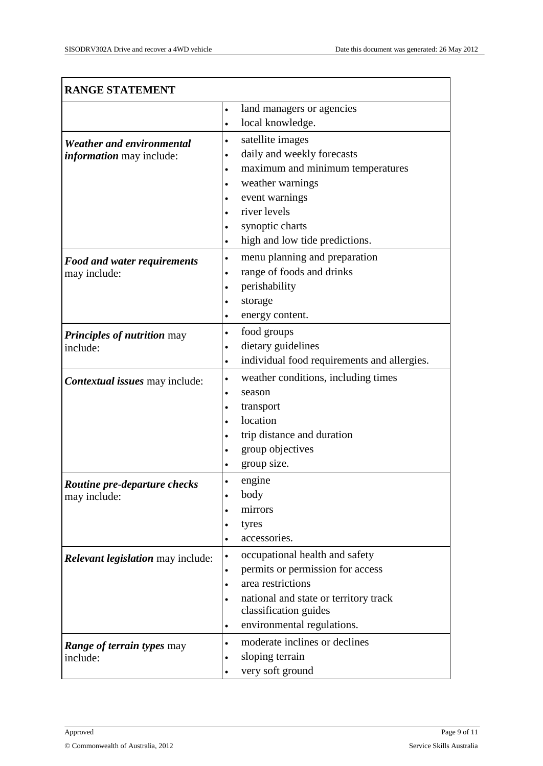| <b>RANGE STATEMENT</b>                   |                                                          |
|------------------------------------------|----------------------------------------------------------|
|                                          | land managers or agencies<br>$\bullet$                   |
|                                          | local knowledge.<br>$\bullet$                            |
| Weather and environmental                | satellite images<br>$\bullet$                            |
| <i>information</i> may include:          | daily and weekly forecasts                               |
|                                          | maximum and minimum temperatures<br>$\bullet$            |
|                                          | weather warnings<br>$\bullet$                            |
|                                          | event warnings<br>$\bullet$                              |
|                                          | river levels<br>$\bullet$                                |
|                                          | synoptic charts<br>$\bullet$                             |
|                                          | high and low tide predictions.                           |
| <b>Food and water requirements</b>       | menu planning and preparation<br>$\bullet$               |
| may include:                             | range of foods and drinks<br>$\bullet$                   |
|                                          | perishability<br>$\bullet$                               |
|                                          | storage                                                  |
|                                          | energy content.<br>$\bullet$                             |
| <b>Principles of nutrition may</b>       | food groups<br>$\bullet$                                 |
| include:                                 | dietary guidelines<br>$\bullet$                          |
|                                          | individual food requirements and allergies.<br>$\bullet$ |
| Contextual issues may include:           | weather conditions, including times<br>$\bullet$         |
|                                          | season<br>$\bullet$                                      |
|                                          | transport<br>$\bullet$                                   |
|                                          | location                                                 |
|                                          | trip distance and duration<br>$\bullet$                  |
|                                          | group objectives<br>$\bullet$                            |
|                                          | group size.                                              |
| <b>Routine pre-departure checks</b>      | engine<br>٠                                              |
| may include:                             | body<br>$\bullet$                                        |
|                                          | mirrors<br>$\bullet$                                     |
|                                          | tyres<br>$\bullet$                                       |
|                                          | accessories.<br>٠                                        |
| <b>Relevant legislation</b> may include: | occupational health and safety<br>$\bullet$              |
|                                          | permits or permission for access<br>$\bullet$            |
|                                          | area restrictions<br>$\bullet$                           |
|                                          | national and state or territory track<br>$\bullet$       |
|                                          | classification guides                                    |
|                                          | environmental regulations.<br>$\bullet$                  |
| <b>Range of terrain types may</b>        | moderate inclines or declines<br>$\bullet$               |
| include:                                 | sloping terrain                                          |
|                                          | very soft ground                                         |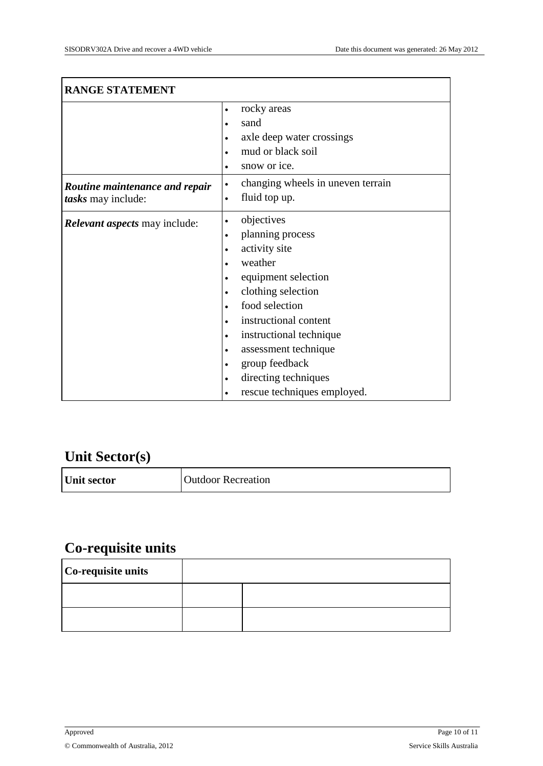| <b>RANGE STATEMENT</b>                                      |                                                                                                                                                                                                                                                                                                                                                                                        |
|-------------------------------------------------------------|----------------------------------------------------------------------------------------------------------------------------------------------------------------------------------------------------------------------------------------------------------------------------------------------------------------------------------------------------------------------------------------|
| <b>Routine maintenance and repair</b><br>tasks may include: | rocky areas<br>$\bullet$<br>sand<br>$\bullet$<br>axle deep water crossings<br>$\bullet$<br>mud or black soil<br>$\bullet$<br>snow or ice.<br>$\bullet$<br>changing wheels in uneven terrain<br>$\bullet$<br>fluid top up.<br>$\bullet$                                                                                                                                                 |
| <b>Relevant aspects may include:</b>                        | objectives<br>$\bullet$<br>planning process<br>$\bullet$<br>activity site<br>weather<br>equipment selection<br>$\bullet$<br>clothing selection<br>$\bullet$<br>food selection<br>$\bullet$<br>instructional content<br>instructional technique<br>$\bullet$<br>assessment technique<br>$\bullet$<br>group feedback<br>directing techniques<br>$\bullet$<br>rescue techniques employed. |

# **Unit Sector(s)**

| <b>Unit sector</b> | <b>Outdoor Recreation</b> |
|--------------------|---------------------------|
|                    |                           |

# **Co-requisite units**

| Co-requisite units |  |  |
|--------------------|--|--|
|                    |  |  |
|                    |  |  |